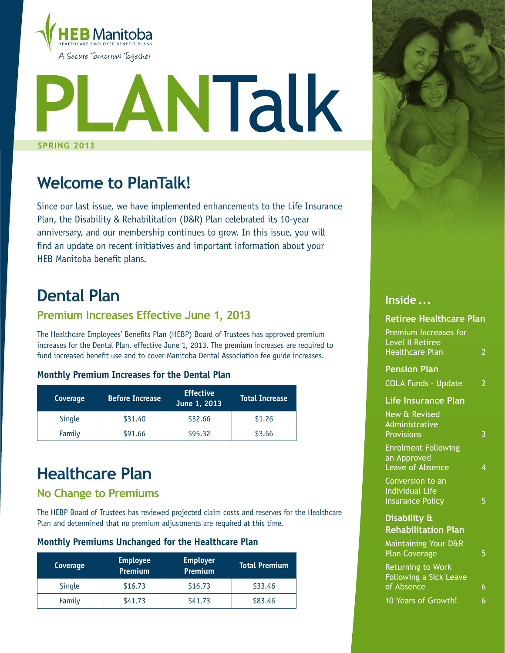

# **P**<br>SPRING 2 **SPRING 2013 lan**Talk

## **Welcome to PlanTalk!**

Since our last issue, we have implemented enhancements to the Life Insurance Plan, the Disability & Rehabilitation (D&R) Plan celebrated its 10-year anniversary, and our membership continues to grow. In this issue, you will find an update on recent initiatives and important information about your HEB Manitoba benefit plans.

## **Dental Plan**

### **Premium Increases Effective June 1, 2013**

The Healthcare Employees' Benefits Plan (HEBP) Board of Trustees has approved premium increases for the Dental Plan, effective June 1, 2013. The premium increases are required to fund increased benefit use and to cover Manitoba Dental Association fee guide increases.

#### **Monthly Premium Increases for the Dental Plan**

| Coverage      | <b>Effective</b><br><b>Before Increase</b><br>June 1, 2013 |         | <b>Total Increase</b> |
|---------------|------------------------------------------------------------|---------|-----------------------|
| <b>Single</b> | \$31.40                                                    | \$32.66 | \$1.26                |
| Family        | \$91.66                                                    |         | \$3.66                |

## **Healthcare Plan**

### **No Change to Premiums**

The HEBP Board of Trustees has reviewed projected claim costs and reserves for the Healthcare Plan and determined that no premium adjustments are required at this time.

#### **Monthly Premiums Unchanged for the Healthcare Plan**

| Coverage      | <b>Employee</b><br><b>Employer</b><br>Premium<br>Premium |         | <b>Total Premium</b> |
|---------------|----------------------------------------------------------|---------|----------------------|
| <b>Single</b> | \$16.73                                                  | \$16.73 | \$33.46              |
| Family        | \$41.73                                                  | \$41.73 | \$83.46              |



### **Inside . . .**

### **Retiree Healthcare Plan** Premium Increases for Level II Retiree Healthcare Plan 2 **Pension Plan**  COLA Funds - Update 2 **Life Insurance Plan** New & Revised Administrative Provisions 3 Enrolment Following an Approved Leave of Absence Conversion to an Individual Life Insurance Policy **5 Disability & Rehabilitation Plan** Maintaining Your D&R Plan Coverage 5 Returning to Work Following a Sick Leave of Absence 6 10 Years of Growth! 6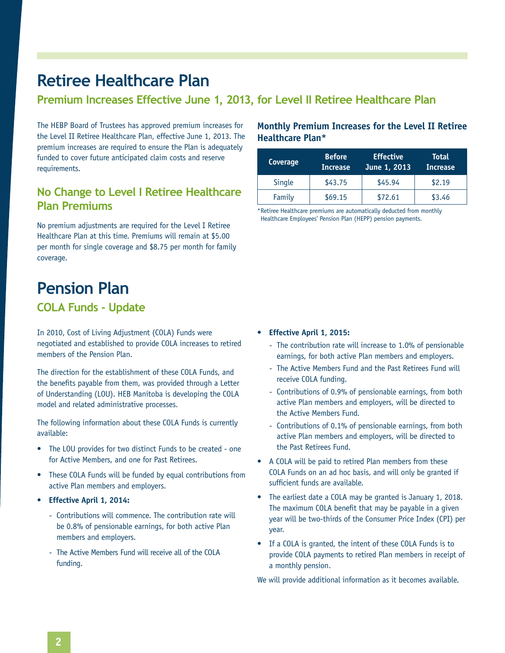## **Retiree Healthcare Plan**

### **Premium Increases Effective June 1, 2013, for Level II Retiree Healthcare Plan**

The HEBP Board of Trustees has approved premium increases for the Level II Retiree Healthcare Plan, effective June 1, 2013. The premium increases are required to ensure the Plan is adequately funded to cover future anticipated claim costs and reserve requirements.

### **No Change to Level I Retiree Healthcare Plan Premiums**

No premium adjustments are required for the Level I Retiree Healthcare Plan at this time. Premiums will remain at \$5.00 per month for single coverage and \$8.75 per month for family coverage.

## **Pension Plan**

### **COLA Funds - Update**

In 2010, Cost of Living Adjustment (COLA) Funds were negotiated and established to provide COLA increases to retired members of the Pension Plan.

The direction for the establishment of these COLA Funds, and the benefits payable from them, was provided through a Letter of Understanding (LOU). HEB Manitoba is developing the COLA model and related administrative processes.

The following information about these COLA Funds is currently available:

- The LOU provides for two distinct Funds to be created one for Active Members, and one for Past Retirees.
- These COLA Funds will be funded by equal contributions from active Plan members and employers.
- **• Effective April 1, 2014:**
	- Contributions will commence. The contribution rate will be 0.8% of pensionable earnings, for both active Plan members and employers.
	- The Active Members Fund will receive all of the COLA funding.

#### **Monthly Premium Increases for the Level II Retiree Healthcare Plan\***

| Coverage | <b>Before</b><br><b>Increase</b> | <b>Effective</b><br>June 1, 2013 <sup>'</sup> | <b>Total</b><br><b>Increase</b> |
|----------|----------------------------------|-----------------------------------------------|---------------------------------|
| Single   | \$43.75                          | \$45.94                                       | \$2.19                          |
| Family   | \$69.15                          | \$72.61                                       | \$3.46                          |

\* Retiree Healthcare premiums are automatically deducted from monthly Healthcare Employees' Pension Plan (HEPP) pension payments.

#### **• Effective April 1, 2015:**

- The contribution rate will increase to 1.0% of pensionable earnings, for both active Plan members and employers.
- The Active Members Fund and the Past Retirees Fund will receive COLA funding.
- Contributions of 0.9% of pensionable earnings, from both active Plan members and employers, will be directed to the Active Members Fund.
- Contributions of 0.1% of pensionable earnings, from both active Plan members and employers, will be directed to the Past Retirees Fund.
- A COLA will be paid to retired Plan members from these COLA Funds on an ad hoc basis, and will only be granted if sufficient funds are available.
- The earliest date a COLA may be granted is January 1, 2018. The maximum COLA benefit that may be payable in a given year will be two-thirds of the Consumer Price Index (CPI) per year.
- If a COLA is granted, the intent of these COLA Funds is to provide COLA payments to retired Plan members in receipt of a monthly pension.

We will provide additional information as it becomes available.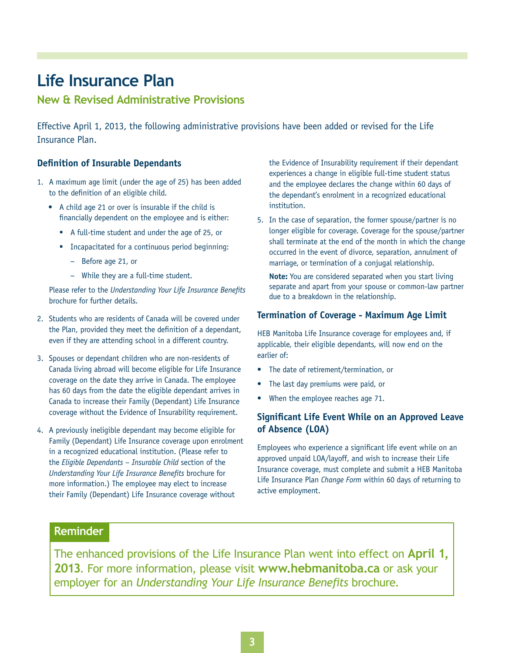## **Life Insurance Plan**

**New & Revised Administrative Provisions**

Effective April 1, 2013, the following administrative provisions have been added or revised for the Life Insurance Plan.

#### **Definition of Insurable Dependants**

- 1. A maximum age limit (under the age of 25) has been added to the definition of an eligible child.
	- • A child age 21 or over is insurable if the child is financially dependent on the employee and is either:
		- A full-time student and under the age of 25, or
		- **EXECUTE:** Incapacitated for a continuous period beginning:
			- − Before age 21, or
			- − While they are a full-time student.

Please refer to the *Understanding Your Life Insurance Benefits*  brochure for further details.

- 2. Students who are residents of Canada will be covered under the Plan, provided they meet the definition of a dependant, even if they are attending school in a different country.
- 3. Spouses or dependant children who are non-residents of Canada living abroad will become eligible for Life Insurance coverage on the date they arrive in Canada. The employee has 60 days from the date the eligible dependant arrives in Canada to increase their Family (Dependant) Life Insurance coverage without the Evidence of Insurability requirement.
- 4. A previously ineligible dependant may become eligible for Family (Dependant) Life Insurance coverage upon enrolment in a recognized educational institution. (Please refer to the *Eligible Dependants – Insurable Child* section of the *Understanding Your Life Insurance Benefits* brochure for more information.) The employee may elect to increase their Family (Dependant) Life Insurance coverage without

the Evidence of Insurability requirement if their dependant experiences a change in eligible full-time student status and the employee declares the change within 60 days of the dependant's enrolment in a recognized educational institution.

5. In the case of separation, the former spouse/partner is no longer eligible for coverage. Coverage for the spouse/partner shall terminate at the end of the month in which the change occurred in the event of divorce, separation, annulment of marriage, or termination of a conjugal relationship.

**Note:** You are considered separated when you start living separate and apart from your spouse or common-law partner due to a breakdown in the relationship.

#### **Termination of Coverage - Maximum Age Limit**

HEB Manitoba Life Insurance coverage for employees and, if applicable, their eligible dependants, will now end on the earlier of:

- The date of retirement/termination, or
- The last day premiums were paid, or
- When the employee reaches age 71.

#### **Significant Life Event While on an Approved Leave of Absence (LOA)**

Employees who experience a significant life event while on an approved unpaid LOA/layoff, and wish to increase their Life Insurance coverage, must complete and submit a HEB Manitoba Life Insurance Plan *Change Form* within 60 days of returning to active employment.

#### **Reminder**

The enhanced provisions of the Life Insurance Plan went into effect on **April 1, 2013**. For more information, please visit **www.hebmanitoba.ca** or ask your employer for an *Understanding Your Life Insurance Benefits* brochure.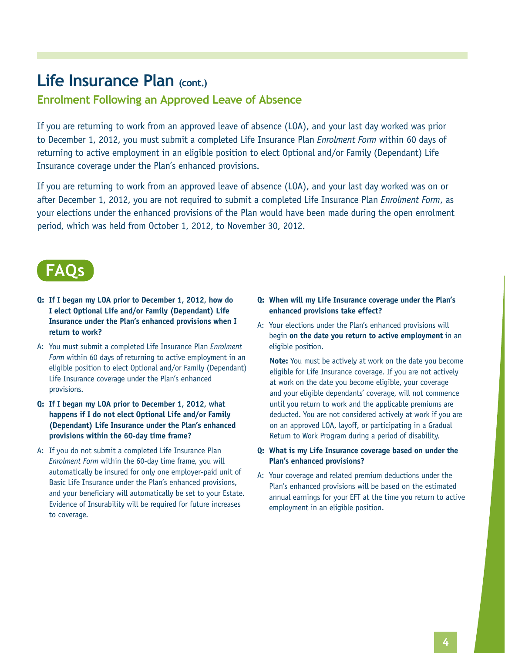## Life Insurance Plan (cont.)

### **Enrolment Following an Approved Leave of Absence**

If you are returning to work from an approved leave of absence (LOA), and your last day worked was prior to December 1, 2012, you must submit a completed Life Insurance Plan *Enrolment Form* within 60 days of returning to active employment in an eligible position to elect Optional and/or Family (Dependant) Life Insurance coverage under the Plan's enhanced provisions.

If you are returning to work from an approved leave of absence (LOA), and your last day worked was on or after December 1, 2012, you are not required to submit a completed Life Insurance Plan *Enrolment Form*, as your elections under the enhanced provisions of the Plan would have been made during the open enrolment period, which was held from October 1, 2012, to November 30, 2012.



#### **Q: If I began my LOA prior to December 1, 2012, how do I elect Optional Life and/or Family (Dependant) Life Insurance under the Plan's enhanced provisions when I return to work?**

- A: You must submit a completed Life Insurance Plan *Enrolment Form* within 60 days of returning to active employment in an eligible position to elect Optional and/or Family (Dependant) Life Insurance coverage under the Plan's enhanced provisions.
- **Q: If I began my LOA prior to December 1, 2012, what happens if I do not elect Optional Life and/or Family (Dependant) Life Insurance under the Plan's enhanced provisions within the 60-day time frame?**
- A: If you do not submit a completed Life Insurance Plan *Enrolment Form* within the 60-day time frame, you will automatically be insured for only one employer-paid unit of Basic Life Insurance under the Plan's enhanced provisions, and your beneficiary will automatically be set to your Estate. Evidence of Insurability will be required for future increases to coverage.

#### **Q: When will my Life Insurance coverage under the Plan's enhanced provisions take effect?**

A: Your elections under the Plan's enhanced provisions will begin **on the date you return to active employment** in an eligible position.

**Note:** You must be actively at work on the date you become eligible for Life Insurance coverage. If you are not actively at work on the date you become eligible, your coverage and your eligible dependants' coverage, will not commence until you return to work and the applicable premiums are deducted. You are not considered actively at work if you are on an approved LOA, layoff, or participating in a Gradual Return to Work Program during a period of disability.

#### **Q: What is my Life Insurance coverage based on under the Plan's enhanced provisions?**

A: Your coverage and related premium deductions under the Plan's enhanced provisions will be based on the estimated annual earnings for your EFT at the time you return to active employment in an eligible position.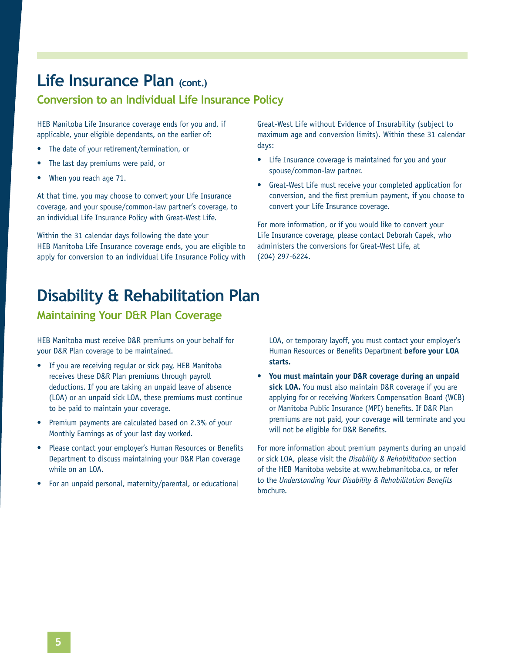## Life Insurance Plan (cont.)

### **Conversion to an Individual Life Insurance Policy**

HEB Manitoba Life Insurance coverage ends for you and, if applicable, your eligible dependants, on the earlier of:

- The date of your retirement/termination, or
- The last day premiums were paid, or
- When you reach age 71.

At that time, you may choose to convert your Life Insurance coverage, and your spouse/common-law partner's coverage, to an individual Life Insurance Policy with Great-West Life.

Within the 31 calendar days following the date your HEB Manitoba Life Insurance coverage ends, you are eligible to apply for conversion to an individual Life Insurance Policy with Great‑West Life without Evidence of Insurability (subject to maximum age and conversion limits). Within these 31 calendar days:

- Life Insurance coverage is maintained for you and your spouse/common-law partner.
- Great-West Life must receive your completed application for conversion, and the first premium payment, if you choose to convert your Life Insurance coverage.

For more information, or if you would like to convert your Life Insurance coverage, please contact Deborah Capek, who administers the conversions for Great-West Life, at (204) 297-6224.

## **Disability & Rehabilitation Plan**

### **Maintaining Your D&R Plan Coverage**

HEB Manitoba must receive D&R premiums on your behalf for your D&R Plan coverage to be maintained.

- If you are receiving regular or sick pay, HEB Manitoba receives these D&R Plan premiums through payroll deductions. If you are taking an unpaid leave of absence (LOA) or an unpaid sick LOA, these premiums must continue to be paid to maintain your coverage.
- Premium payments are calculated based on 2.3% of your Monthly Earnings as of your last day worked.
- Please contact your employer's Human Resources or Benefits Department to discuss maintaining your D&R Plan coverage while on an LOA.
- For an unpaid personal, maternity/parental, or educational

LOA, or temporary layoff, you must contact your employer's Human Resources or Benefits Department **before your LOA starts.**

You must maintain your D&R coverage during an unpaid **sick LOA.** You must also maintain D&R coverage if you are applying for or receiving Workers Compensation Board (WCB) or Manitoba Public Insurance (MPI) benefits. If D&R Plan premiums are not paid, your coverage will terminate and you will not be eligible for D&R Benefits.

For more information about premium payments during an unpaid or sick LOA, please visit the *Disability & Rehabilitation* section of the HEB Manitoba website at www.hebmanitoba.ca, or refer to the *Understanding Your Disability & Rehabilitation Benefits* brochure.